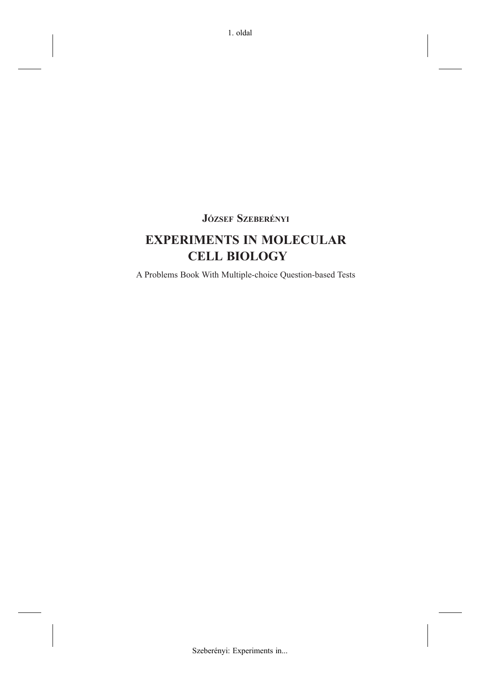## **JÓZSEF SZEBERÉNYI**

# **EXPERIMENTS IN MOLECULAR CELL BIOLOGY**

A Problems Book With Multiple-choice Question-based Tests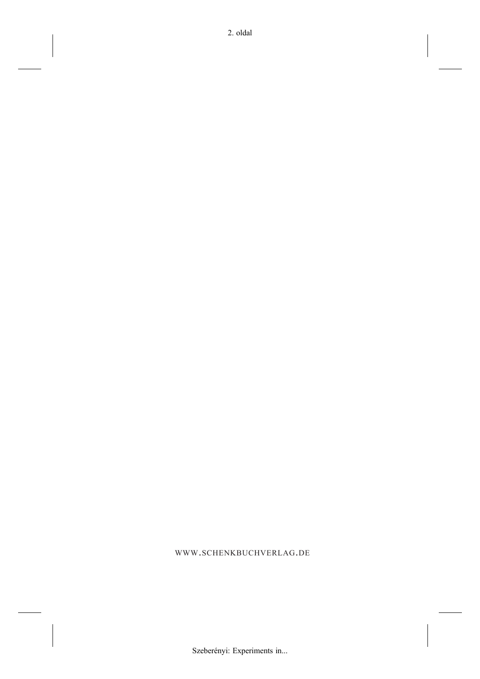WWW.SCHENKBUCHVERLAG.DE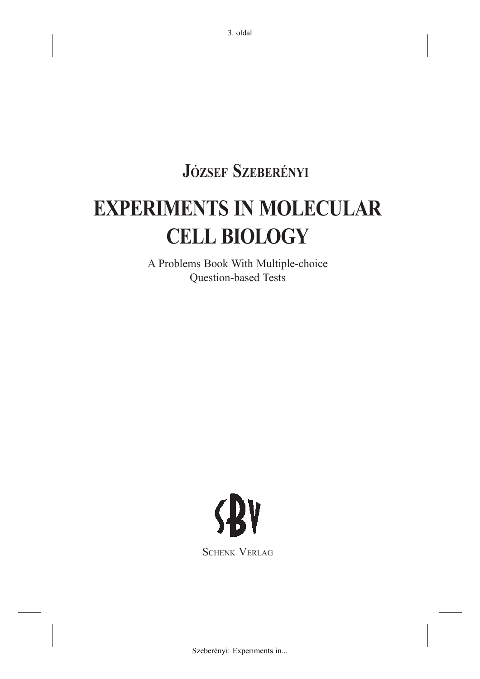**JÓZSEF SZEBERÉNYI**

# **EXPERIMENTS IN MOLECULAR CELL BIOLOGY**

A Problems Book With Multiple-choice Question-based Tests

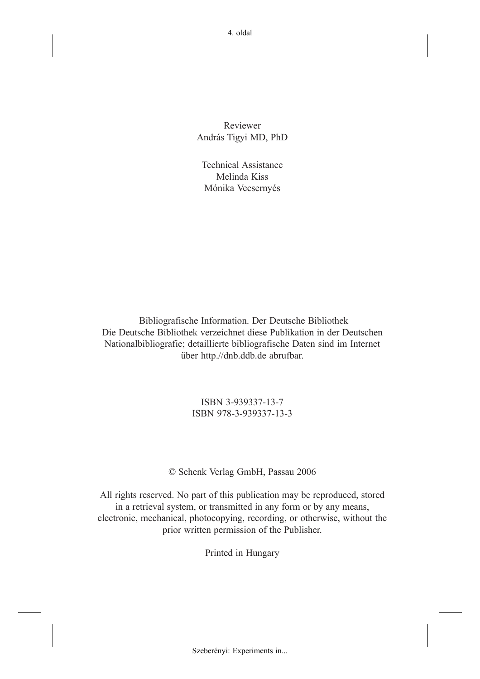Reviewer András Tigyi MD, PhD

Technical Assistance Melinda Kiss Mónika Vecsernyés

 Bibliografische Information. Der Deutsche Bibliothek Die Deutsche Bibliothek verzeichnet diese Publikation in der Deutschen Nationalbibliografie; detaillierte bibliografische Daten sind im Internet über http.//dnb.ddb.de abrufbar.

> ISBN 3-939337-13-7 ISBN 978-3-939337-13-3

© Schenk Verlag GmbH, Passau 2006

All rights reserved. No part of this publication may be reproduced, stored in a retrieval system, or transmitted in any form or by any means, electronic, mechanical, photocopying, recording, or otherwise, without the prior written permission of the Publisher.

Printed in Hungary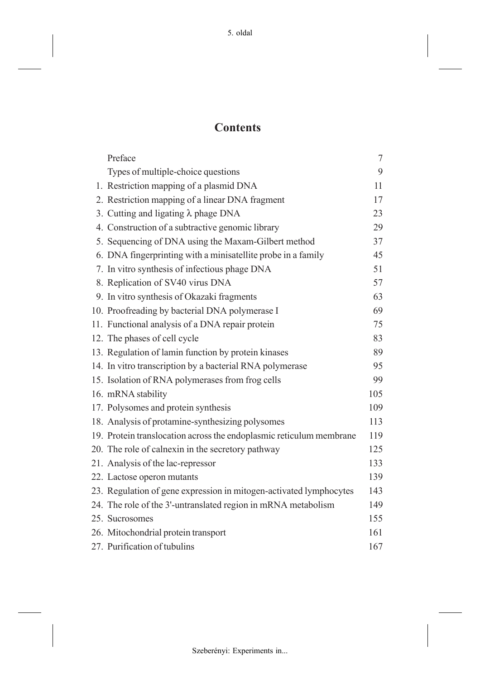# **Contents**

| Preface                                                             | $\tau$ |  |
|---------------------------------------------------------------------|--------|--|
| Types of multiple-choice questions                                  | 9      |  |
| 1. Restriction mapping of a plasmid DNA                             | 11     |  |
| 2. Restriction mapping of a linear DNA fragment                     | 17     |  |
| 3. Cutting and ligating $\lambda$ phage DNA                         |        |  |
| 4. Construction of a subtractive genomic library                    | 29     |  |
| 5. Sequencing of DNA using the Maxam-Gilbert method                 | 37     |  |
| 6. DNA fingerprinting with a minisatellite probe in a family        | 45     |  |
| 7. In vitro synthesis of infectious phage DNA                       | 51     |  |
| 8. Replication of SV40 virus DNA                                    | 57     |  |
| 9. In vitro synthesis of Okazaki fragments                          | 63     |  |
| 10. Proofreading by bacterial DNA polymerase I                      | 69     |  |
| 11. Functional analysis of a DNA repair protein                     | 75     |  |
| 12. The phases of cell cycle                                        | 83     |  |
| 13. Regulation of lamin function by protein kinases                 | 89     |  |
| 14. In vitro transcription by a bacterial RNA polymerase            | 95     |  |
| 15. Isolation of RNA polymerases from frog cells                    | 99     |  |
| 16. mRNA stability                                                  | 105    |  |
| 17. Polysomes and protein synthesis                                 | 109    |  |
| 18. Analysis of protamine-synthesizing polysomes                    | 113    |  |
| 19. Protein translocation across the endoplasmic reticulum membrane | 119    |  |
| 20. The role of calnexin in the secretory pathway                   | 125    |  |
| 21. Analysis of the lac-repressor                                   | 133    |  |
| 22. Lactose operon mutants                                          | 139    |  |
| 23. Regulation of gene expression in mitogen-activated lymphocytes  | 143    |  |
| 24. The role of the 3'-untranslated region in mRNA metabolism       | 149    |  |
| 25. Sucrosomes                                                      | 155    |  |
| 26. Mitochondrial protein transport                                 | 161    |  |
| 27. Purification of tubulins                                        | 167    |  |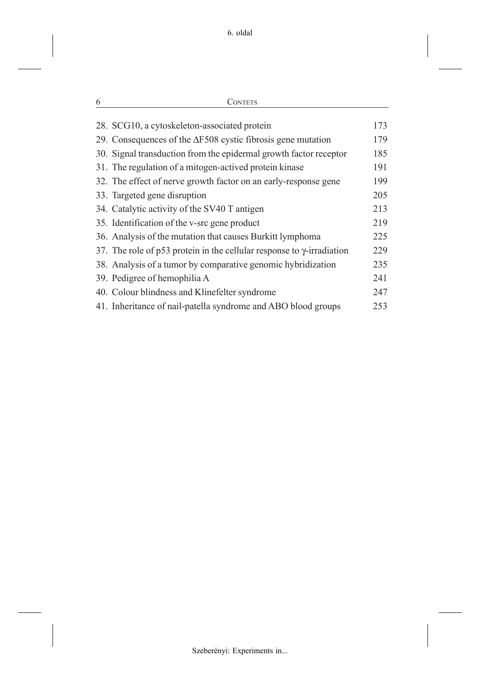| 28. SCG10, a cytoskeleton-associated protein                                  | 173 |
|-------------------------------------------------------------------------------|-----|
| 29. Consequences of the $\Delta$ F508 cystic fibrosis gene mutation           | 179 |
| 30. Signal transduction from the epidermal growth factor receptor             | 185 |
| 31. The regulation of a mitogen-actived protein kinase                        | 191 |
| 32. The effect of nerve growth factor on an early-response gene               | 199 |
| 33. Targeted gene disruption                                                  | 205 |
| 34. Catalytic activity of the SV40 T antigen                                  | 213 |
| 35. Identification of the v-src gene product                                  | 219 |
| 36. Analysis of the mutation that causes Burkitt lymphoma                     | 225 |
| 37. The role of p53 protein in the cellular response to $\gamma$ -irradiation | 229 |
| 38. Analysis of a tumor by comparative genomic hybridization                  | 235 |
| 39. Pedigree of hemophilia A                                                  | 241 |
| 40. Colour blindness and Klinefelter syndrome                                 | 247 |
| 41. Inheritance of nail-patella syndrome and ABO blood groups                 | 253 |
|                                                                               |     |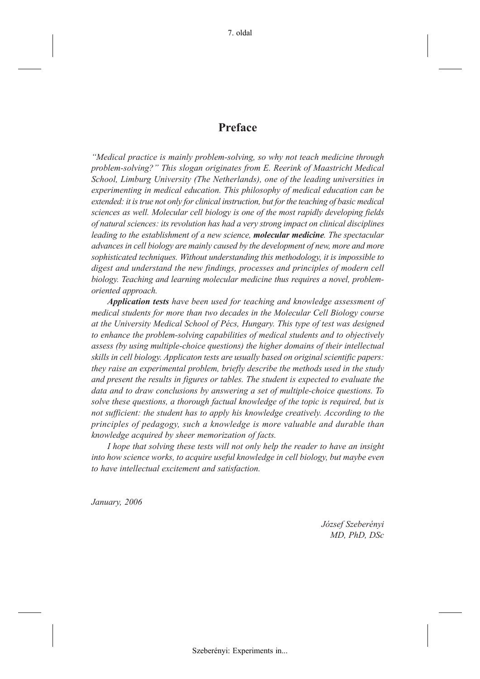### **Preface**

*"Medical practice is mainly problem-solving, so why not teach medicine through problem-solving?" This slogan originates from E. Reerink of Maastricht Medical School, Limburg University (The Netherlands), one of the leading universities in experimenting in medical education. This philosophy of medical education can be extended: it is true not only for clinical instruction, but for the teaching of basic medical sciences as well. Molecular cell biology is one of the most rapidly developing fields of natural sciences: its revolution has had a very strong impact on clinical disciplines leading to the establishment of a new science, molecular medicine. The spectacular advances in cell biology are mainly caused by the development of new, more and more sophisticated techniques. Without understanding this methodology, it is impossible to digest and understand the new findings, processes and principles of modern cell biology. Teaching and learning molecular medicine thus requires a novel, problemoriented approach.*

*Application tests have been used for teaching and knowledge assessment of medical students for more than two decades in the Molecular Cell Biology course at the University Medical School of Pécs, Hungary. This type of test was designed to enhance the problem-solving capabilities of medical students and to objectively assess (by using multiple-choice questions) the higher domains of their intellectual skills in cell biology. Applicaton tests are usually based on original scientific papers: they raise an experimental problem, briefly describe the methods used in the study and present the results in figures or tables. The student is expected to evaluate the data and to draw conclusions by answering a set of multiple-choice questions. To solve these questions, a thorough factual knowledge of the topic is required, but is not sufficient: the student has to apply his knowledge creatively. According to the principles of pedagogy, such a knowledge is more valuable and durable than knowledge acquired by sheer memorization of facts.*

*I hope that solving these tests will not only help the reader to have an insight into how science works, to acquire useful knowledge in cell biology, but maybe even to have intellectual excitement and satisfaction.*

*January, 2006*

*József Szeberényi MD, PhD, DSc*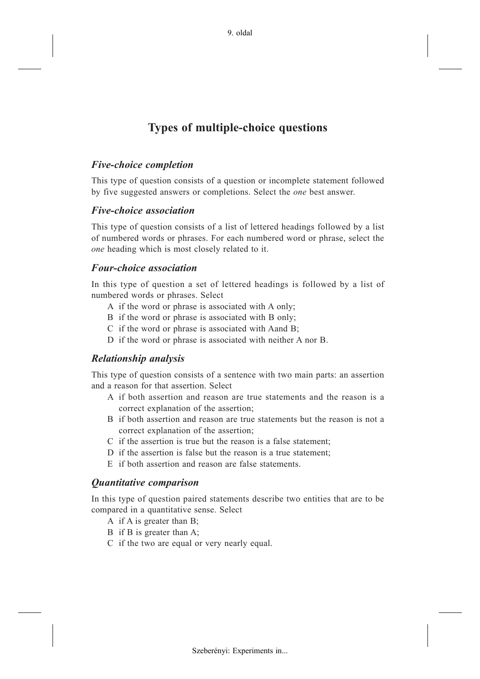# **Types of multiple-choice questions**

### *Five-choice completion*

This type of question consists of a question or incomplete statement followed by five suggested answers or completions. Select the *one* best answer.

### *Five-choice association*

This type of question consists of a list of lettered headings followed by a list of numbered words or phrases. For each numbered word or phrase, select the *one* heading which is most closely related to it.

### *Four-choice association*

In this type of question a set of lettered headings is followed by a list of numbered words or phrases. Select

- A if the word or phrase is associated with A only;
- B if the word or phrase is associated with B only;
- C if the word or phrase is associated with Aand B;
- D if the word or phrase is associated with neither A nor B.

### *Relationship analysis*

This type of question consists of a sentence with two main parts: an assertion and a reason for that assertion. Select

- A if both assertion and reason are true statements and the reason is a correct explanation of the assertion;
- B if both assertion and reason are true statements but the reason is not a correct explanation of the assertion;
- C if the assertion is true but the reason is a false statement;
- D if the assertion is false but the reason is a true statement;
- E if both assertion and reason are false statements.

### *Quantitative comparison*

In this type of question paired statements describe two entities that are to be compared in a quantitative sense. Select

- A if A is greater than B;
- B if B is greater than A;
- C if the two are equal or very nearly equal.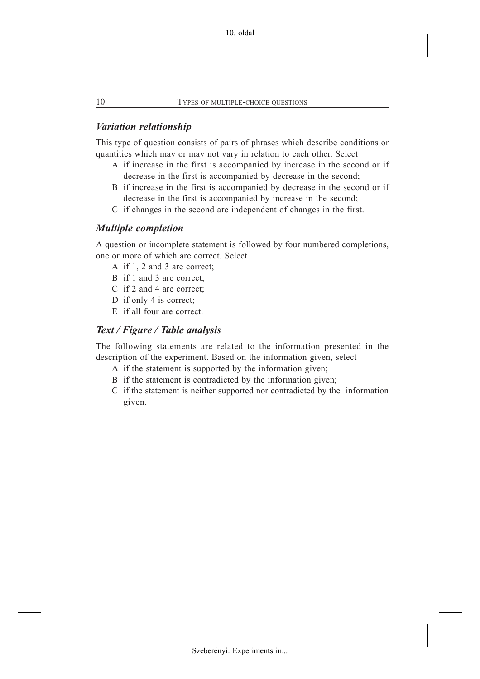### *Variation relationship*

This type of question consists of pairs of phrases which describe conditions or quantities which may or may not vary in relation to each other. Select

- A if increase in the first is accompanied by increase in the second or if decrease in the first is accompanied by decrease in the second;
- B if increase in the first is accompanied by decrease in the second or if decrease in the first is accompanied by increase in the second;
- C if changes in the second are independent of changes in the first.

### *Multiple completion*

A question or incomplete statement is followed by four numbered completions, one or more of which are correct. Select

- A if 1, 2 and 3 are correct;
- B if 1 and 3 are correct;
- C if 2 and 4 are correct;
- D if only 4 is correct;
- E if all four are correct.

### *Text / Figure / Table analysis*

The following statements are related to the information presented in the description of the experiment. Based on the information given, select

- A if the statement is supported by the information given;
- B if the statement is contradicted by the information given;
- C if the statement is neither supported nor contradicted by the information given.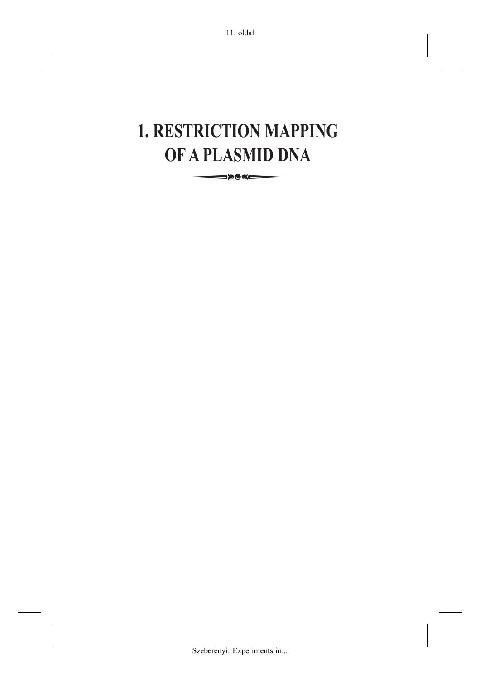# **1. RESTRICTION MAPPING OF A PLASMID DNA TRICTION MANUS**<br>A PLASMID D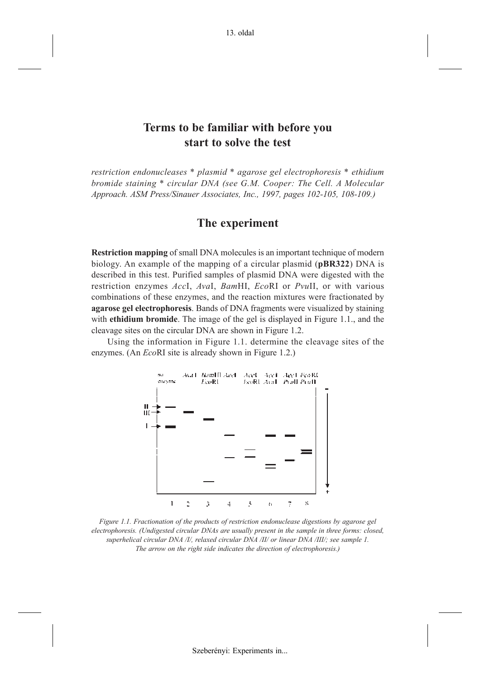### **Terms to be familiar with before you start to solve the test**

*restriction endonucleases \* plasmid \* agarose gel electrophoresis \* ethidium bromide staining \* circular DNA (see G.M. Cooper: The Cell. A Molecular Approach. ASM Press/Sinauer Associates, Inc., 1997, pages 102-105, 108-109.)*

### **The experiment**

**Restriction mapping** of small DNA molecules is an important technique of modern biology. An example of the mapping of a circular plasmid (**pBR322**) DNA is described in this test. Purified samples of plasmid DNA were digested with the restriction enzymes *Acc*I, *Ava*I, *Bam*HI, *Eco*RI or *Pvu*II, or with various combinations of these enzymes, and the reaction mixtures were fractionated by **agarose gel electrophoresis**. Bands of DNA fragments were visualized by staining with **ethidium bromide**. The image of the gel is displayed in Figure 1.1., and the cleavage sites on the circular DNA are shown in Figure 1.2.

Using the information in Figure 1.1. determine the cleavage sites of the enzymes. (An *Eco*RI site is already shown in Figure 1.2.)



*Figure 1.1. Fractionation of the products of restriction endonuclease digestions by agarose gel electrophoresis. (Undigested circular DNAs are usually present in the sample in three forms: closed, superhelical circular DNA /I/, relaxed circular DNA /II/ or linear DNA /III/; see sample 1. The arrow on the right side indicates the direction of electrophoresis.)*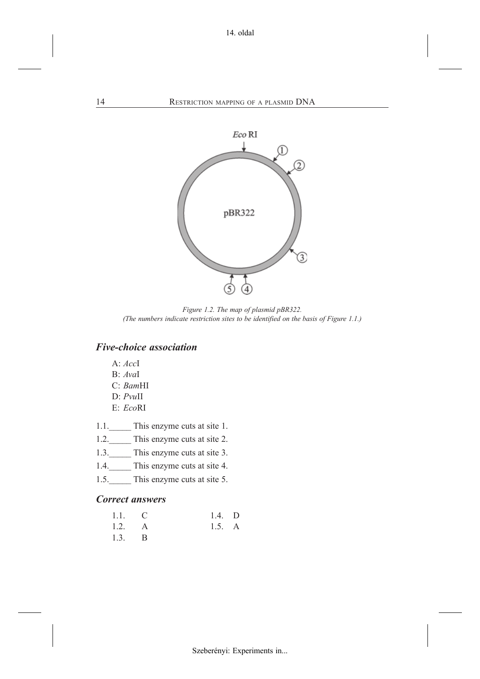

*Figure 1.2. The map of plasmid pBR322. (The numbers indicate restriction sites to be identified on the basis of Figure 1.1.)*

### *Five-choice association*

- A: *Acc*I
- B: *Ava*I
- C: *Bam*HI
- D: *Pvu*II
- E: *Eco*RI
- 1.1. This enzyme cuts at site 1.
- 1.2. This enzyme cuts at site 2.
- 1.3. This enzyme cuts at site 3.
- 1.4. This enzyme cuts at site 4.
- 1.5. This enzyme cuts at site 5.

### *Correct answers*

| $1.1.$ C        | $1.4.$ D |  |
|-----------------|----------|--|
| 1.2. A          | 1.5. A   |  |
| $1.3. \qquad B$ |          |  |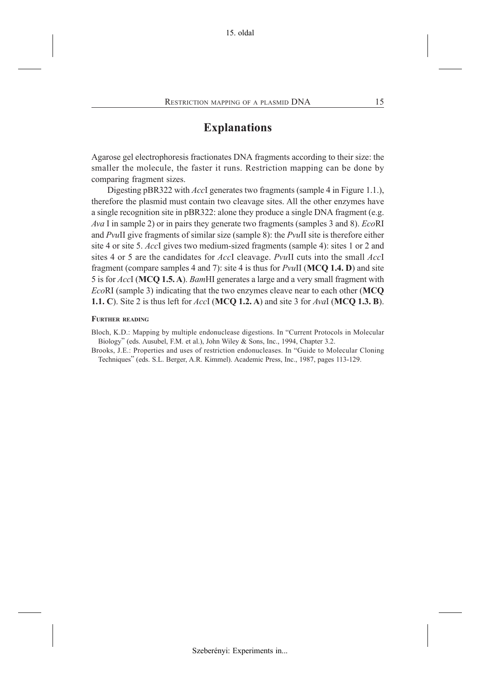### **Explanations**

Agarose gel electrophoresis fractionates DNA fragments according to their size: the smaller the molecule, the faster it runs. Restriction mapping can be done by comparing fragment sizes.

Digesting pBR322 with *Acc*I generates two fragments (sample 4 in Figure 1.1.), therefore the plasmid must contain two cleavage sites. All the other enzymes have a single recognition site in pBR322: alone they produce a single DNA fragment (e.g. *Ava* I in sample 2) or in pairs they generate two fragments (samples 3 and 8). *Eco*RI and *Pvu*II give fragments of similar size (sample 8): the *Pvu*II site is therefore either site 4 or site 5. *Acc*I gives two medium-sized fragments (sample 4): sites 1 or 2 and sites 4 or 5 are the candidates for *Acc*I cleavage. *Pvu*II cuts into the small *Acc*I fragment (compare samples 4 and 7): site 4 is thus for *Pvu*II (**MCQ 1.4. D**) and site 5 is for *Acc*I (**MCQ 1.5. A**). *Bam*HI generates a large and a very small fragment with *Eco*RI (sample 3) indicating that the two enzymes cleave near to each other (**MCQ 1.1. C**). Site 2 is thus left for *Acc*I (**MCQ 1.2. A**) and site 3 for *Ava*I (**MCQ 1.3. B**).

#### **FURTHER READING**

Bloch, K.D.: Mapping by multiple endonuclease digestions. In "Current Protocols in Molecular Biology" (eds. Ausubel, F.M. et al.), John Wiley & Sons, Inc., 1994, Chapter 3.2.

Brooks, J.E.: Properties and uses of restriction endonucleases. In "Guide to Molecular Cloning Techniques" (eds. S.L. Berger, A.R. Kimmel). Academic Press, Inc., 1987, pages 113-129.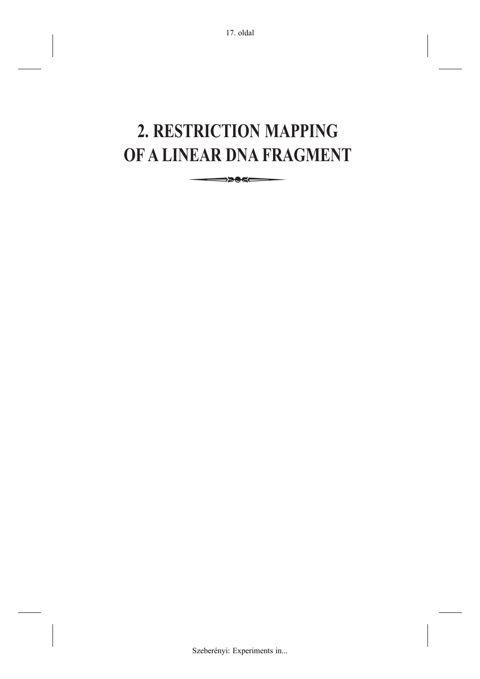# **2. RESTRICTION MAPPING OF A LINEAR DNA FRAGMENT FRICTION MANUS**<br>**EAR DNA FRANCISCHE**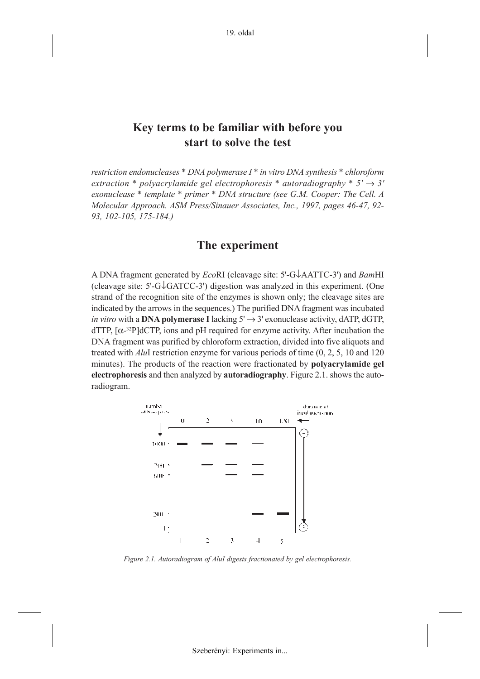### **Key terms to be familiar with before you start to solve the test**

*restriction endonucleases \* DNA polymerase I \* in vitro DNA synthesis \* chloroform*  $extraction * polvacr$ *vlamide gel electrophoresis \* autoradiography \**  $5' \rightarrow 3'$ *exonuclease \* template \* primer \* DNA structure (see G.M. Cooper: The Cell. A Molecular Approach. ASM Press/Sinauer Associates, Inc., 1997, pages 46-47, 92- 93, 102-105, 175-184.)*

### **The experiment**

A DNA fragment generated by *Eco*RI (cleavage site: 5'-G↓AATTC-3') and *Bam*HI (cleavage site: 5'-G↓GATCC-3') digestion was analyzed in this experiment. (One strand of the recognition site of the enzymes is shown only; the cleavage sites are indicated by the arrows in the sequences.) The purified DNA fragment was incubated *in vitro* with a **DNA polymerase I** lacking  $5' \rightarrow 3'$  exonuclease activity, dATP, dGTP,  $dTTP$ ,  $[\alpha^{-32}P]dCTP$ , ions and pH required for enzyme activity. After incubation the DNA fragment was purified by chloroform extraction, divided into five aliquots and treated with *Alu*I restriction enzyme for various periods of time (0, 2, 5, 10 and 120 minutes). The products of the reaction were fractionated by **polyacrylamide gel electrophoresis** and then analyzed by **autoradiography**. Figure 2.1. shows the autoradiogram.



*Figure 2.1. Autoradiogram of AluI digests fractionated by gel electrophoresis.*